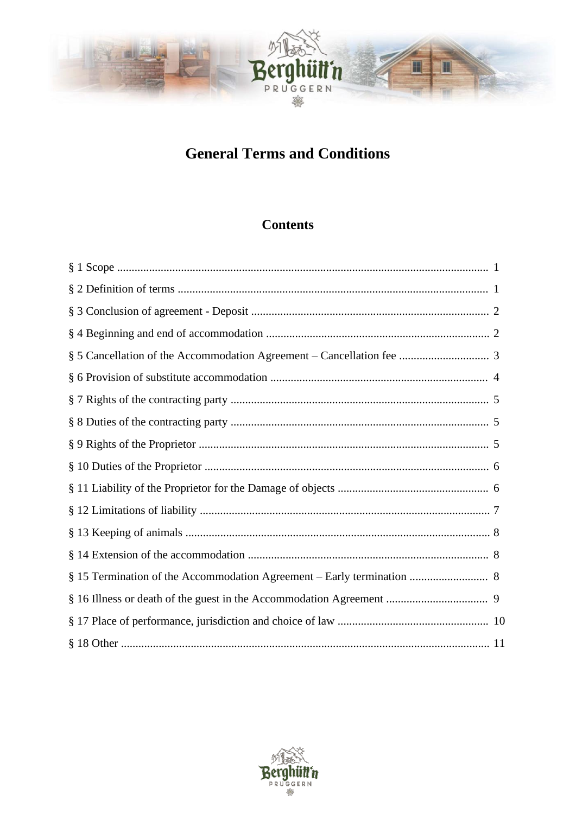

# **General Terms and Conditions**

# **Contents**

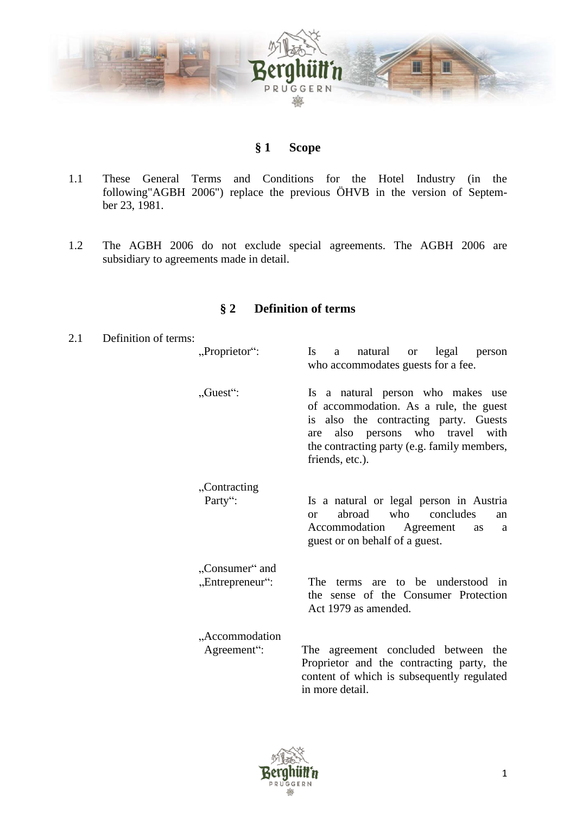

# **§ 1 Scope**

- <span id="page-1-0"></span>1.1 These General Terms and Conditions for the Hotel Industry (in the following"AGBH 2006") replace the previous ÖHVB in the version of September 23, 1981.
- 1.2 The AGBH 2006 do not exclude special agreements. The AGBH 2006 are subsidiary to agreements made in detail.

# **§ 2 Definition of terms**

<span id="page-1-1"></span>

| 2.1 | Definition of terms: |                                   |                                                                                                                                                                                                                               |
|-----|----------------------|-----------------------------------|-------------------------------------------------------------------------------------------------------------------------------------------------------------------------------------------------------------------------------|
|     |                      | "Proprietor":                     | <b>Is</b><br>natural<br>legal<br>a<br><b>or</b><br>person<br>who accommodates guests for a fee.                                                                                                                               |
|     |                      | $, Guest$ ":                      | Is a natural person who makes use<br>of accommodation. As a rule, the guest<br>is also the contracting party. Guests<br>also persons who travel with<br>are<br>the contracting party (e.g. family members,<br>friends, etc.). |
|     |                      | "Contracting<br>Party":           | Is a natural or legal person in Austria<br>abroad<br>who<br>concludes<br><sub>or</sub><br>an<br>Accommodation<br>Agreement<br><b>as</b><br>a<br>guest or on behalf of a guest.                                                |
|     |                      | "Consumer" and<br>"Entrepreneur": | The terms are to be understood in<br>the sense of the Consumer Protection<br>Act 1979 as amended.                                                                                                                             |
|     |                      | "Accommodation<br>Agreement":     | The agreement concluded between the<br>Proprietor and the contracting party, the<br>content of which is subsequently regulated<br>in more detail.                                                                             |

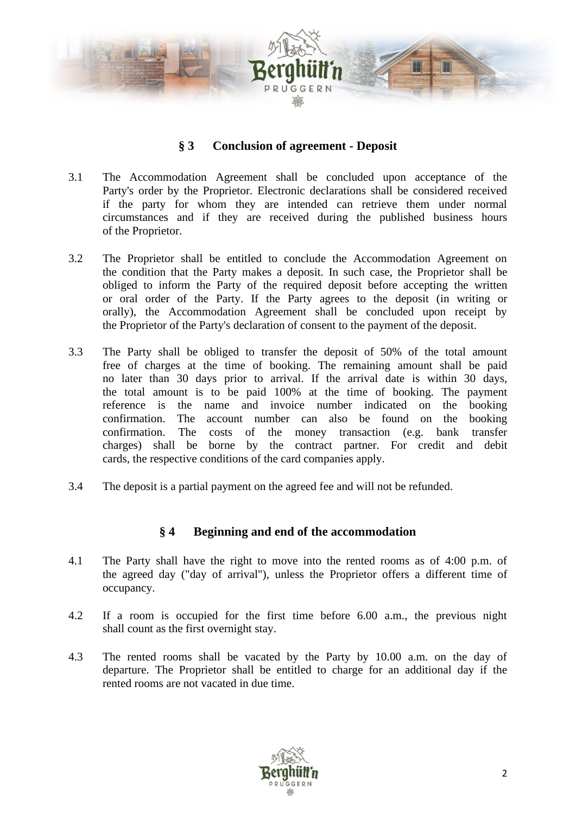

# **§ 3 Conclusion of agreement - Deposit**

- <span id="page-2-0"></span>3.1 The Accommodation Agreement shall be concluded upon acceptance of the Party's order by the Proprietor. Electronic declarations shall be considered received if the party for whom they are intended can retrieve them under normal circumstances and if they are received during the published business hours of the Proprietor.
- 3.2 The Proprietor shall be entitled to conclude the Accommodation Agreement on the condition that the Party makes a deposit. In such case, the Proprietor shall be obliged to inform the Party of the required deposit before accepting the written or oral order of the Party. If the Party agrees to the deposit (in writing or orally), the Accommodation Agreement shall be concluded upon receipt by the Proprietor of the Party's declaration of consent to the payment of the deposit.
- 3.3 The Party shall be obliged to transfer the deposit of 50% of the total amount free of charges at the time of booking. The remaining amount shall be paid no later than 30 days prior to arrival. If the arrival date is within 30 days, the total amount is to be paid 100% at the time of booking. The payment reference is the name and invoice number indicated on the booking confirmation. The account number can also be found on the booking confirmation. The costs of the money transaction (e.g. bank transfer charges) shall be borne by the contract partner. For credit and debit cards, the respective conditions of the card companies apply.
- 3.4 The deposit is a partial payment on the agreed fee and will not be refunded.

#### **§ 4 Beginning and end of the accommodation**

- <span id="page-2-1"></span>4.1 The Party shall have the right to move into the rented rooms as of 4:00 p.m. of the agreed day ("day of arrival"), unless the Proprietor offers a different time of occupancy.
- 4.2 If a room is occupied for the first time before 6.00 a.m., the previous night shall count as the first overnight stay.
- 4.3 The rented rooms shall be vacated by the Party by 10.00 a.m. on the day of departure. The Proprietor shall be entitled to charge for an additional day if the rented rooms are not vacated in due time.

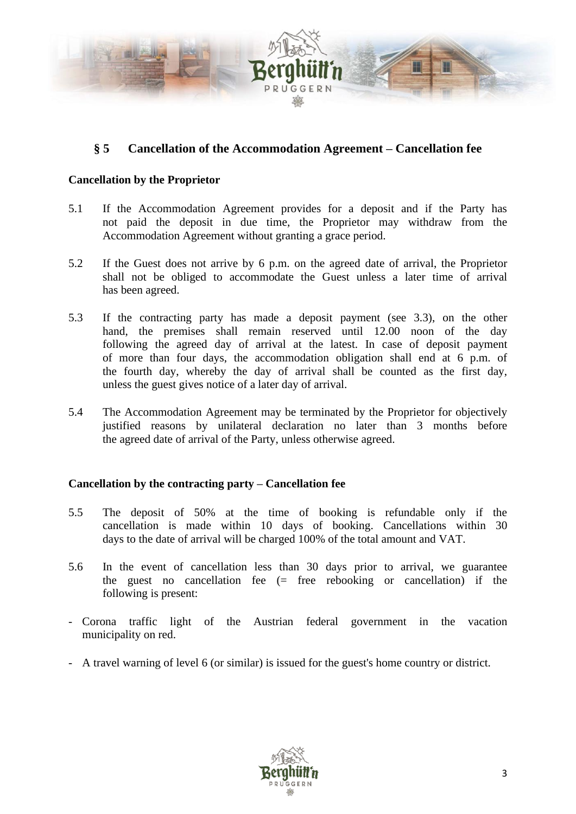

# <span id="page-3-0"></span>**§ 5 Cancellation of the Accommodation Agreement – Cancellation fee**

#### **Cancellation by the Proprietor**

- 5.1 If the Accommodation Agreement provides for a deposit and if the Party has not paid the deposit in due time, the Proprietor may withdraw from the Accommodation Agreement without granting a grace period.
- 5.2 If the Guest does not arrive by 6 p.m. on the agreed date of arrival, the Proprietor shall not be obliged to accommodate the Guest unless a later time of arrival has been agreed.
- 5.3 If the contracting party has made a deposit payment (see 3.3), on the other hand, the premises shall remain reserved until 12.00 noon of the day following the agreed day of arrival at the latest. In case of deposit payment of more than four days, the accommodation obligation shall end at 6 p.m. of the fourth day, whereby the day of arrival shall be counted as the first day, unless the guest gives notice of a later day of arrival.
- 5.4 The Accommodation Agreement may be terminated by the Proprietor for objectively justified reasons by unilateral declaration no later than 3 months before the agreed date of arrival of the Party, unless otherwise agreed.

#### **Cancellation by the contracting party – Cancellation fee**

- 5.5 The deposit of 50% at the time of booking is refundable only if the cancellation is made within 10 days of booking. Cancellations within 30 days to the date of arrival will be charged 100% of the total amount and VAT.
- 5.6 In the event of cancellation less than 30 days prior to arrival, we guarantee the guest no cancellation fee (= free rebooking or cancellation) if the following is present:
- Corona traffic light of the Austrian federal government in the vacation municipality on red.
- A travel warning of level 6 (or similar) is issued for the guest's home country or district.

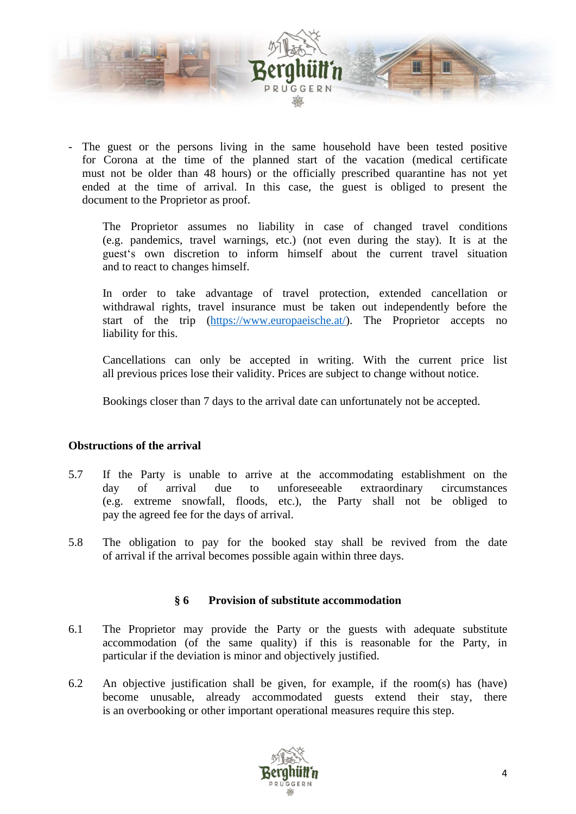

The guest or the persons living in the same household have been tested positive for Corona at the time of the planned start of the vacation (medical certificate must not be older than 48 hours) or the officially prescribed quarantine has not yet ended at the time of arrival. In this case, the guest is obliged to present the document to the Proprietor as proof.

The Proprietor assumes no liability in case of changed travel conditions (e.g. pandemics, travel warnings, etc.) (not even during the stay). It is at the guest's own discretion to inform himself about the current travel situation and to react to changes himself.

In order to take advantage of travel protection, extended cancellation or withdrawal rights, travel insurance must be taken out independently before the start of the trip [\(https://www.europaeische.at/\)](https://www.europaeische.at/). The Proprietor accepts no liability for this.

Cancellations can only be accepted in writing. With the current price list all previous prices lose their validity. Prices are subject to change without notice.

Bookings closer than 7 days to the arrival date can unfortunately not be accepted.

#### **Obstructions of the arrival**

- 5.7 If the Party is unable to arrive at the accommodating establishment on the day of arrival due to unforeseeable extraordinary circumstances (e.g. extreme snowfall, floods, etc.), the Party shall not be obliged to pay the agreed fee for the days of arrival.
- 5.8 The obligation to pay for the booked stay shall be revived from the date of arrival if the arrival becomes possible again within three days.

#### **§ 6 Provision of substitute accommodation**

- <span id="page-4-0"></span>6.1 The Proprietor may provide the Party or the guests with adequate substitute accommodation (of the same quality) if this is reasonable for the Party, in particular if the deviation is minor and objectively justified.
- 6.2 An objective justification shall be given, for example, if the room(s) has (have) become unusable, already accommodated guests extend their stay, there is an overbooking or other important operational measures require this step.

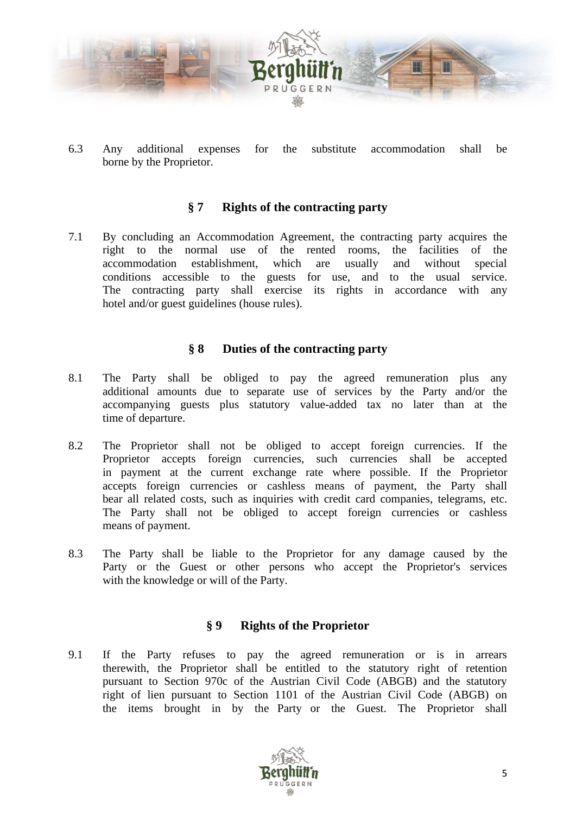

6.3 Any additional expenses for the substitute accommodation shall be borne by the Proprietor.

# **§ 7 Rights of the contracting party**

<span id="page-5-0"></span>7.1 By concluding an Accommodation Agreement, the contracting party acquires the right to the normal use of the rented rooms, the facilities of the accommodation establishment, which are usually and without special conditions accessible to the guests for use, and to the usual service. The contracting party shall exercise its rights in accordance with any hotel and/or guest guidelines (house rules).

# **§ 8 Duties of the contracting party**

- <span id="page-5-1"></span>8.1 The Party shall be obliged to pay the agreed remuneration plus any additional amounts due to separate use of services by the Party and/or the accompanying guests plus statutory value-added tax no later than at the time of departure.
- 8.2 The Proprietor shall not be obliged to accept foreign currencies. If the Proprietor accepts foreign currencies, such currencies shall be accepted in payment at the current exchange rate where possible. If the Proprietor accepts foreign currencies or cashless means of payment, the Party shall bear all related costs, such as inquiries with credit card companies, telegrams, etc. The Party shall not be obliged to accept foreign currencies or cashless means of payment.
- 8.3 The Party shall be liable to the Proprietor for any damage caused by the Party or the Guest or other persons who accept the Proprietor's services with the knowledge or will of the Party.

# **§ 9 Rights of the Proprietor**

<span id="page-5-2"></span>9.1 If the Party refuses to pay the agreed remuneration or is in arrears therewith, the Proprietor shall be entitled to the statutory right of retention pursuant to Section 970c of the Austrian Civil Code (ABGB) and the statutory right of lien pursuant to Section 1101 of the Austrian Civil Code (ABGB) on the items brought in by the Party or the Guest. The Proprietor shall

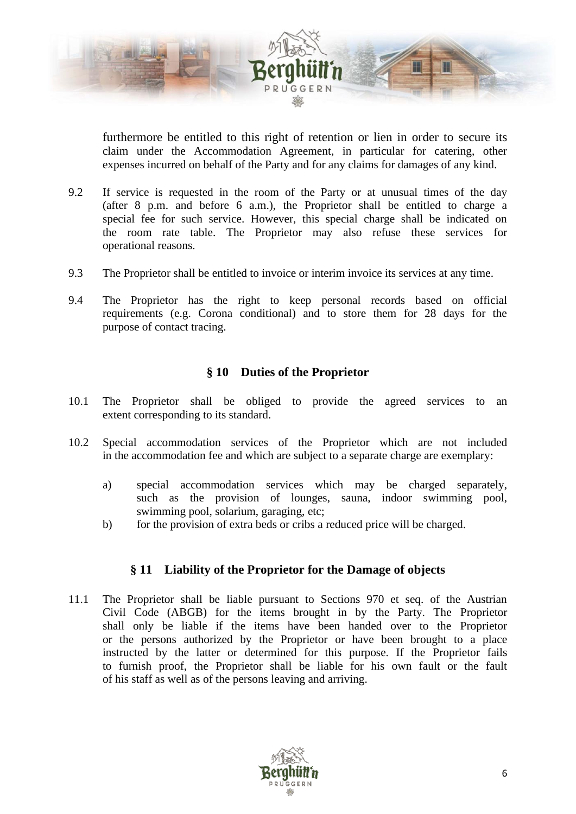

furthermore be entitled to this right of retention or lien in order to secure its claim under the Accommodation Agreement, in particular for catering, other expenses incurred on behalf of the Party and for any claims for damages of any kind.

- 9.2 If service is requested in the room of the Party or at unusual times of the day (after 8 p.m. and before 6 a.m.), the Proprietor shall be entitled to charge a special fee for such service. However, this special charge shall be indicated on the room rate table. The Proprietor may also refuse these services for operational reasons.
- 9.3 The Proprietor shall be entitled to invoice or interim invoice its services at any time.
- 9.4 The Proprietor has the right to keep personal records based on official requirements (e.g. Corona conditional) and to store them for 28 days for the purpose of contact tracing.

# **§ 10 Duties of the Proprietor**

- <span id="page-6-0"></span>10.1 The Proprietor shall be obliged to provide the agreed services to an extent corresponding to its standard.
- 10.2 Special accommodation services of the Proprietor which are not included in the accommodation fee and which are subject to a separate charge are exemplary:
	- a) special accommodation services which may be charged separately, such as the provision of lounges, sauna, indoor swimming pool, swimming pool, solarium, garaging, etc;
	- b) for the provision of extra beds or cribs a reduced price will be charged.

#### **§ 11 Liability of the Proprietor for the Damage of objects**

<span id="page-6-1"></span>11.1 The Proprietor shall be liable pursuant to Sections 970 et seq. of the Austrian Civil Code (ABGB) for the items brought in by the Party. The Proprietor shall only be liable if the items have been handed over to the Proprietor or the persons authorized by the Proprietor or have been brought to a place instructed by the latter or determined for this purpose. If the Proprietor fails to furnish proof, the Proprietor shall be liable for his own fault or the fault of his staff as well as of the persons leaving and arriving.

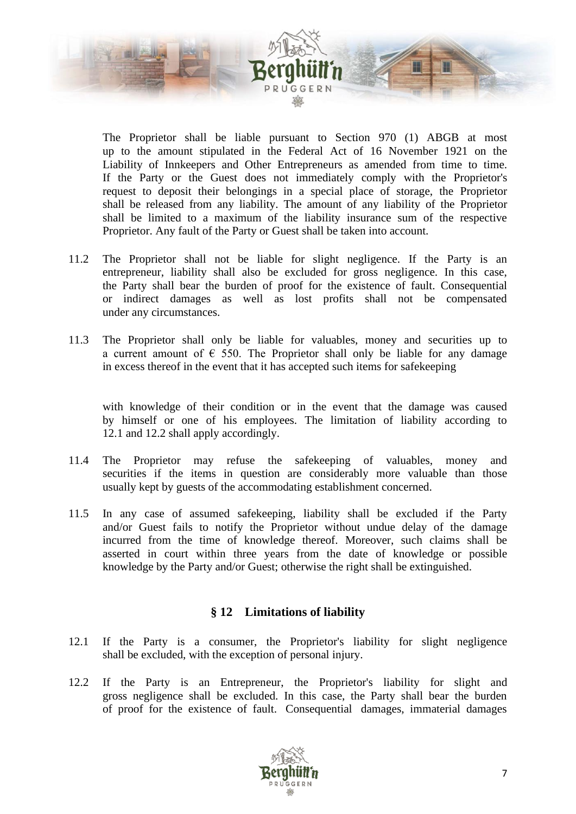

The Proprietor shall be liable pursuant to Section 970 (1) ABGB at most up to the amount stipulated in the Federal Act of 16 November 1921 on the Liability of Innkeepers and Other Entrepreneurs as amended from time to time. If the Party or the Guest does not immediately comply with the Proprietor's request to deposit their belongings in a special place of storage, the Proprietor shall be released from any liability. The amount of any liability of the Proprietor shall be limited to a maximum of the liability insurance sum of the respective Proprietor. Any fault of the Party or Guest shall be taken into account.

- 11.2 The Proprietor shall not be liable for slight negligence. If the Party is an entrepreneur, liability shall also be excluded for gross negligence. In this case, the Party shall bear the burden of proof for the existence of fault. Consequential or indirect damages as well as lost profits shall not be compensated under any circumstances.
- 11.3 The Proprietor shall only be liable for valuables, money and securities up to a current amount of  $\epsilon$  550. The Proprietor shall only be liable for any damage in excess thereof in the event that it has accepted such items for safekeeping

with knowledge of their condition or in the event that the damage was caused by himself or one of his employees. The limitation of liability according to 12.1 and 12.2 shall apply accordingly.

- 11.4 The Proprietor may refuse the safekeeping of valuables, money and securities if the items in question are considerably more valuable than those usually kept by guests of the accommodating establishment concerned.
- 11.5 In any case of assumed safekeeping, liability shall be excluded if the Party and/or Guest fails to notify the Proprietor without undue delay of the damage incurred from the time of knowledge thereof. Moreover, such claims shall be asserted in court within three years from the date of knowledge or possible knowledge by the Party and/or Guest; otherwise the right shall be extinguished.

#### **§ 12 Limitations of liability**

- <span id="page-7-0"></span>12.1 If the Party is a consumer, the Proprietor's liability for slight negligence shall be excluded, with the exception of personal injury.
- 12.2 If the Party is an Entrepreneur, the Proprietor's liability for slight and gross negligence shall be excluded. In this case, the Party shall bear the burden of proof for the existence of fault. Consequential damages, immaterial damages

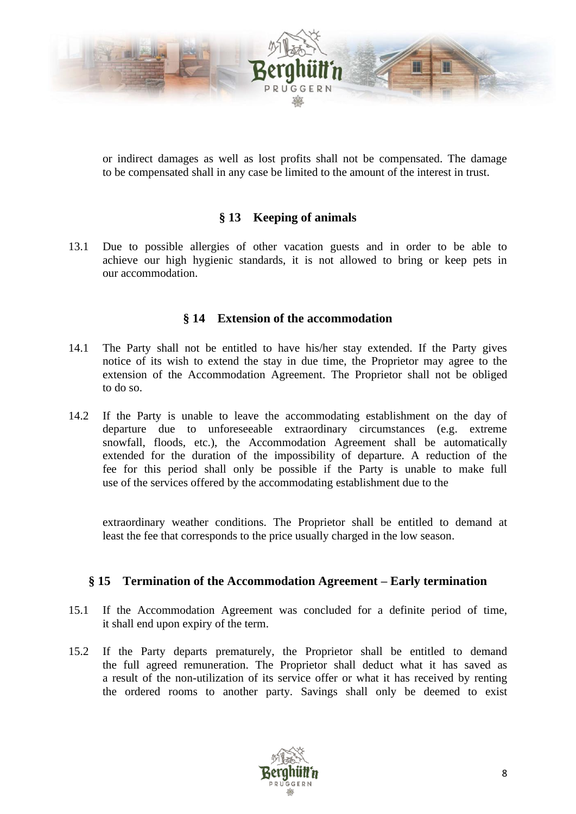

or indirect damages as well as lost profits shall not be compensated. The damage to be compensated shall in any case be limited to the amount of the interest in trust.

# **§ 13 Keeping of animals**

<span id="page-8-0"></span>13.1 Due to possible allergies of other vacation guests and in order to be able to achieve our high hygienic standards, it is not allowed to bring or keep pets in our accommodation.

#### **§ 14 Extension of the accommodation**

- <span id="page-8-1"></span>14.1 The Party shall not be entitled to have his/her stay extended. If the Party gives notice of its wish to extend the stay in due time, the Proprietor may agree to the extension of the Accommodation Agreement. The Proprietor shall not be obliged to do so.
- 14.2 If the Party is unable to leave the accommodating establishment on the day of departure due to unforeseeable extraordinary circumstances (e.g. extreme snowfall, floods, etc.), the Accommodation Agreement shall be automatically extended for the duration of the impossibility of departure. A reduction of the fee for this period shall only be possible if the Party is unable to make full use of the services offered by the accommodating establishment due to the

extraordinary weather conditions. The Proprietor shall be entitled to demand at least the fee that corresponds to the price usually charged in the low season.

#### <span id="page-8-2"></span>**§ 15 Termination of the Accommodation Agreement – Early termination**

- 15.1 If the Accommodation Agreement was concluded for a definite period of time, it shall end upon expiry of the term.
- 15.2 If the Party departs prematurely, the Proprietor shall be entitled to demand the full agreed remuneration. The Proprietor shall deduct what it has saved as a result of the non-utilization of its service offer or what it has received by renting the ordered rooms to another party. Savings shall only be deemed to exist

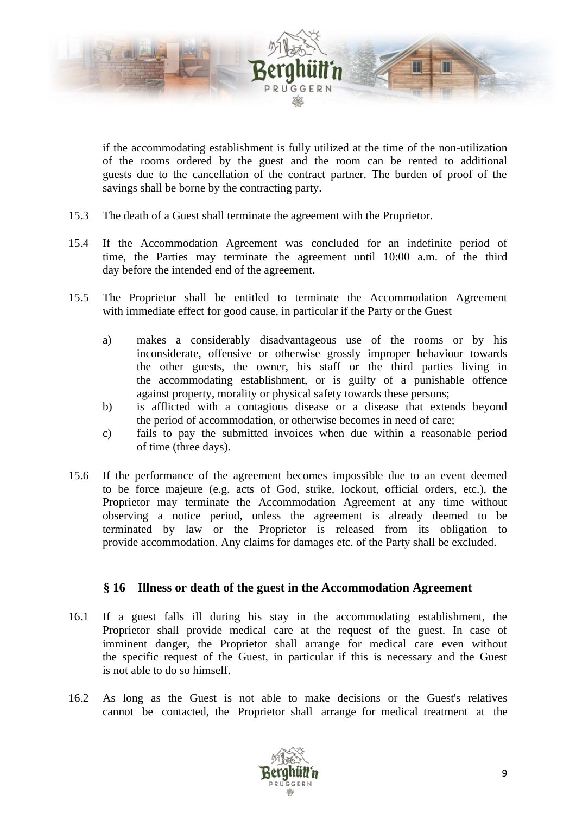

if the accommodating establishment is fully utilized at the time of the non-utilization of the rooms ordered by the guest and the room can be rented to additional guests due to the cancellation of the contract partner. The burden of proof of the savings shall be borne by the contracting party.

- 15.3 The death of a Guest shall terminate the agreement with the Proprietor.
- 15.4 If the Accommodation Agreement was concluded for an indefinite period of time, the Parties may terminate the agreement until 10:00 a.m. of the third day before the intended end of the agreement.
- 15.5 The Proprietor shall be entitled to terminate the Accommodation Agreement with immediate effect for good cause, in particular if the Party or the Guest
	- a) makes a considerably disadvantageous use of the rooms or by his inconsiderate, offensive or otherwise grossly improper behaviour towards the other guests, the owner, his staff or the third parties living in the accommodating establishment, or is guilty of a punishable offence against property, morality or physical safety towards these persons;
	- b) is afflicted with a contagious disease or a disease that extends beyond the period of accommodation, or otherwise becomes in need of care;
	- c) fails to pay the submitted invoices when due within a reasonable period of time (three days).
- 15.6 If the performance of the agreement becomes impossible due to an event deemed to be force majeure (e.g. acts of God, strike, lockout, official orders, etc.), the Proprietor may terminate the Accommodation Agreement at any time without observing a notice period, unless the agreement is already deemed to be terminated by law or the Proprietor is released from its obligation to provide accommodation. Any claims for damages etc. of the Party shall be excluded.

#### **§ 16 Illness or death of the guest in the Accommodation Agreement**

- <span id="page-9-0"></span>16.1 If a guest falls ill during his stay in the accommodating establishment, the Proprietor shall provide medical care at the request of the guest. In case of imminent danger, the Proprietor shall arrange for medical care even without the specific request of the Guest, in particular if this is necessary and the Guest is not able to do so himself.
- 16.2 As long as the Guest is not able to make decisions or the Guest's relatives cannot be contacted, the Proprietor shall arrange for medical treatment at the

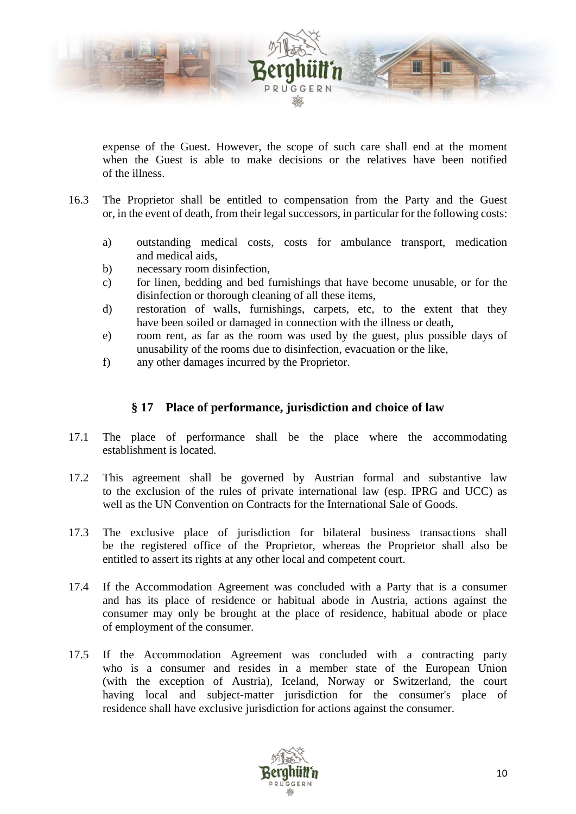

expense of the Guest. However, the scope of such care shall end at the moment when the Guest is able to make decisions or the relatives have been notified of the illness.

- 16.3 The Proprietor shall be entitled to compensation from the Party and the Guest or, in the event of death, from their legal successors, in particular for the following costs:
	- a) outstanding medical costs, costs for ambulance transport, medication and medical aids,
	- b) necessary room disinfection,
	- c) for linen, bedding and bed furnishings that have become unusable, or for the disinfection or thorough cleaning of all these items,
	- d) restoration of walls, furnishings, carpets, etc, to the extent that they have been soiled or damaged in connection with the illness or death,
	- e) room rent, as far as the room was used by the guest, plus possible days of unusability of the rooms due to disinfection, evacuation or the like,
	- f) any other damages incurred by the Proprietor.

### **§ 17 Place of performance, jurisdiction and choice of law**

- <span id="page-10-0"></span>17.1 The place of performance shall be the place where the accommodating establishment is located.
- 17.2 This agreement shall be governed by Austrian formal and substantive law to the exclusion of the rules of private international law (esp. IPRG and UCC) as well as the UN Convention on Contracts for the International Sale of Goods.
- 17.3 The exclusive place of jurisdiction for bilateral business transactions shall be the registered office of the Proprietor, whereas the Proprietor shall also be entitled to assert its rights at any other local and competent court.
- 17.4 If the Accommodation Agreement was concluded with a Party that is a consumer and has its place of residence or habitual abode in Austria, actions against the consumer may only be brought at the place of residence, habitual abode or place of employment of the consumer.
- 17.5 If the Accommodation Agreement was concluded with a contracting party who is a consumer and resides in a member state of the European Union (with the exception of Austria), Iceland, Norway or Switzerland, the court having local and subject-matter jurisdiction for the consumer's place of residence shall have exclusive jurisdiction for actions against the consumer.